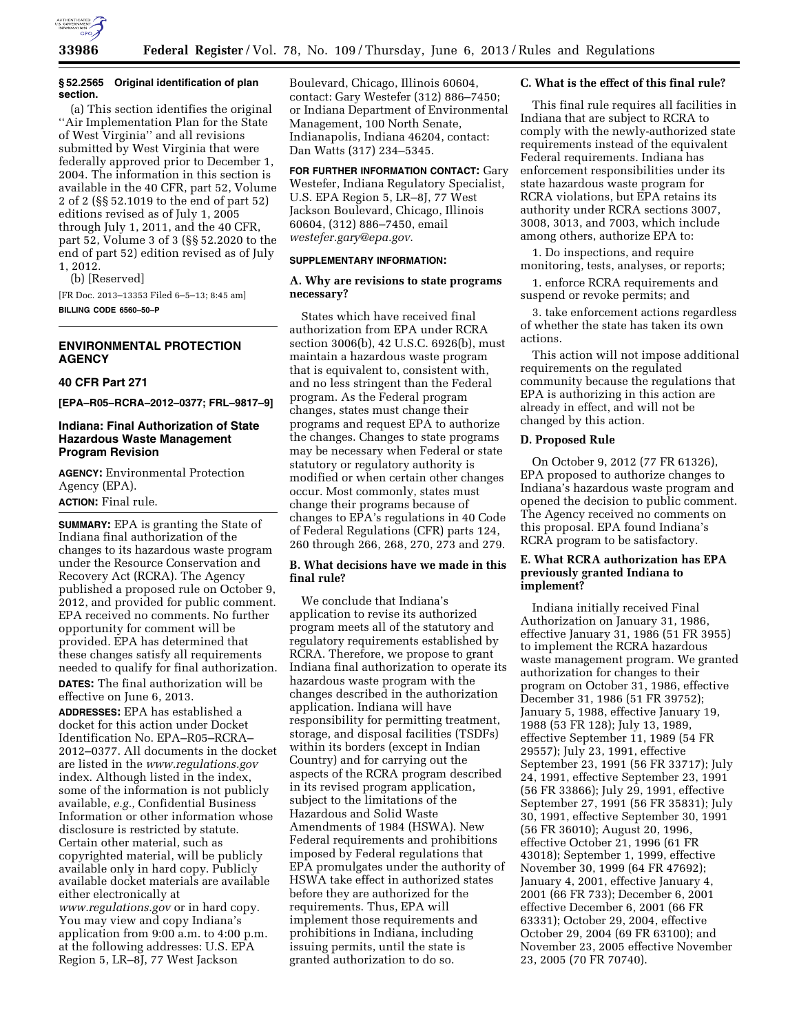

#### **§ 52.2565 Original identification of plan section.**

(a) This section identifies the original ''Air Implementation Plan for the State of West Virginia'' and all revisions submitted by West Virginia that were federally approved prior to December 1, 2004. The information in this section is available in the 40 CFR, part 52, Volume 2 of 2 (§§ 52.1019 to the end of part 52) editions revised as of July 1, 2005 through July 1, 2011, and the 40 CFR, part 52, Volume 3 of 3 (§§ 52.2020 to the end of part 52) edition revised as of July 1, 2012.

(b) [Reserved]

[FR Doc. 2013–13353 Filed 6–5–13; 8:45 am] **BILLING CODE 6560–50–P** 

# **ENVIRONMENTAL PROTECTION AGENCY**

## **40 CFR Part 271**

**[EPA–R05–RCRA–2012–0377; FRL–9817–9]** 

### **Indiana: Final Authorization of State Hazardous Waste Management Program Revision**

**AGENCY:** Environmental Protection Agency (EPA). **ACTION:** Final rule.

**SUMMARY:** EPA is granting the State of Indiana final authorization of the changes to its hazardous waste program under the Resource Conservation and Recovery Act (RCRA). The Agency published a proposed rule on October 9, 2012, and provided for public comment. EPA received no comments. No further opportunity for comment will be provided. EPA has determined that these changes satisfy all requirements needed to qualify for final authorization. **DATES:** The final authorization will be effective on June 6, 2013.

**ADDRESSES:** EPA has established a docket for this action under Docket Identification No. EPA–R05–RCRA– 2012–0377. All documents in the docket are listed in the *[www.regulations.gov](http://www.regulations.gov)*  index. Although listed in the index, some of the information is not publicly available, *e.g.,* Confidential Business Information or other information whose disclosure is restricted by statute. Certain other material, such as copyrighted material, will be publicly available only in hard copy. Publicly available docket materials are available either electronically at *[www.regulations.gov](http://www.regulations.gov)* or in hard copy. You may view and copy Indiana's application from 9:00 a.m. to 4:00 p.m. at the following addresses: U.S. EPA Region 5, LR–8J, 77 West Jackson

Boulevard, Chicago, Illinois 60604, contact: Gary Westefer (312) 886–7450; or Indiana Department of Environmental Management, 100 North Senate, Indianapolis, Indiana 46204, contact: Dan Watts (317) 234–5345.

**FOR FURTHER INFORMATION CONTACT:** Gary Westefer, Indiana Regulatory Specialist, U.S. EPA Region 5, LR–8J, 77 West Jackson Boulevard, Chicago, Illinois 60604, (312) 886–7450, email *[westefer.gary@epa.gov](mailto:westefer.gary@epa.gov)*.

#### **SUPPLEMENTARY INFORMATION:**

### **A. Why are revisions to state programs necessary?**

States which have received final authorization from EPA under RCRA section 3006(b), 42 U.S.C. 6926(b), must maintain a hazardous waste program that is equivalent to, consistent with, and no less stringent than the Federal program. As the Federal program changes, states must change their programs and request EPA to authorize the changes. Changes to state programs may be necessary when Federal or state statutory or regulatory authority is modified or when certain other changes occur. Most commonly, states must change their programs because of changes to EPA's regulations in 40 Code of Federal Regulations (CFR) parts 124, 260 through 266, 268, 270, 273 and 279.

# **B. What decisions have we made in this final rule?**

We conclude that Indiana's application to revise its authorized program meets all of the statutory and regulatory requirements established by RCRA. Therefore, we propose to grant Indiana final authorization to operate its hazardous waste program with the changes described in the authorization application. Indiana will have responsibility for permitting treatment, storage, and disposal facilities (TSDFs) within its borders (except in Indian Country) and for carrying out the aspects of the RCRA program described in its revised program application, subject to the limitations of the Hazardous and Solid Waste Amendments of 1984 (HSWA). New Federal requirements and prohibitions imposed by Federal regulations that EPA promulgates under the authority of HSWA take effect in authorized states before they are authorized for the requirements. Thus, EPA will implement those requirements and prohibitions in Indiana, including issuing permits, until the state is granted authorization to do so.

#### **C. What is the effect of this final rule?**

This final rule requires all facilities in Indiana that are subject to RCRA to comply with the newly-authorized state requirements instead of the equivalent Federal requirements. Indiana has enforcement responsibilities under its state hazardous waste program for RCRA violations, but EPA retains its authority under RCRA sections 3007, 3008, 3013, and 7003, which include among others, authorize EPA to:

1. Do inspections, and require monitoring, tests, analyses, or reports;

1. enforce RCRA requirements and suspend or revoke permits; and

3. take enforcement actions regardless of whether the state has taken its own actions.

This action will not impose additional requirements on the regulated community because the regulations that EPA is authorizing in this action are already in effect, and will not be changed by this action.

## **D. Proposed Rule**

On October 9, 2012 (77 FR 61326), EPA proposed to authorize changes to Indiana's hazardous waste program and opened the decision to public comment. The Agency received no comments on this proposal. EPA found Indiana's RCRA program to be satisfactory.

## **E. What RCRA authorization has EPA previously granted Indiana to implement?**

Indiana initially received Final Authorization on January 31, 1986, effective January 31, 1986 (51 FR 3955) to implement the RCRA hazardous waste management program. We granted authorization for changes to their program on October 31, 1986, effective December 31, 1986 (51 FR 39752); January 5, 1988, effective January 19, 1988 (53 FR 128); July 13, 1989, effective September 11, 1989 (54 FR 29557); July 23, 1991, effective September 23, 1991 (56 FR 33717); July 24, 1991, effective September 23, 1991 (56 FR 33866); July 29, 1991, effective September 27, 1991 (56 FR 35831); July 30, 1991, effective September 30, 1991 (56 FR 36010); August 20, 1996, effective October 21, 1996 (61 FR 43018); September 1, 1999, effective November 30, 1999 (64 FR 47692); January 4, 2001, effective January 4, 2001 (66 FR 733); December 6, 2001 effective December 6, 2001 (66 FR 63331); October 29, 2004, effective October 29, 2004 (69 FR 63100); and November 23, 2005 effective November 23, 2005 (70 FR 70740).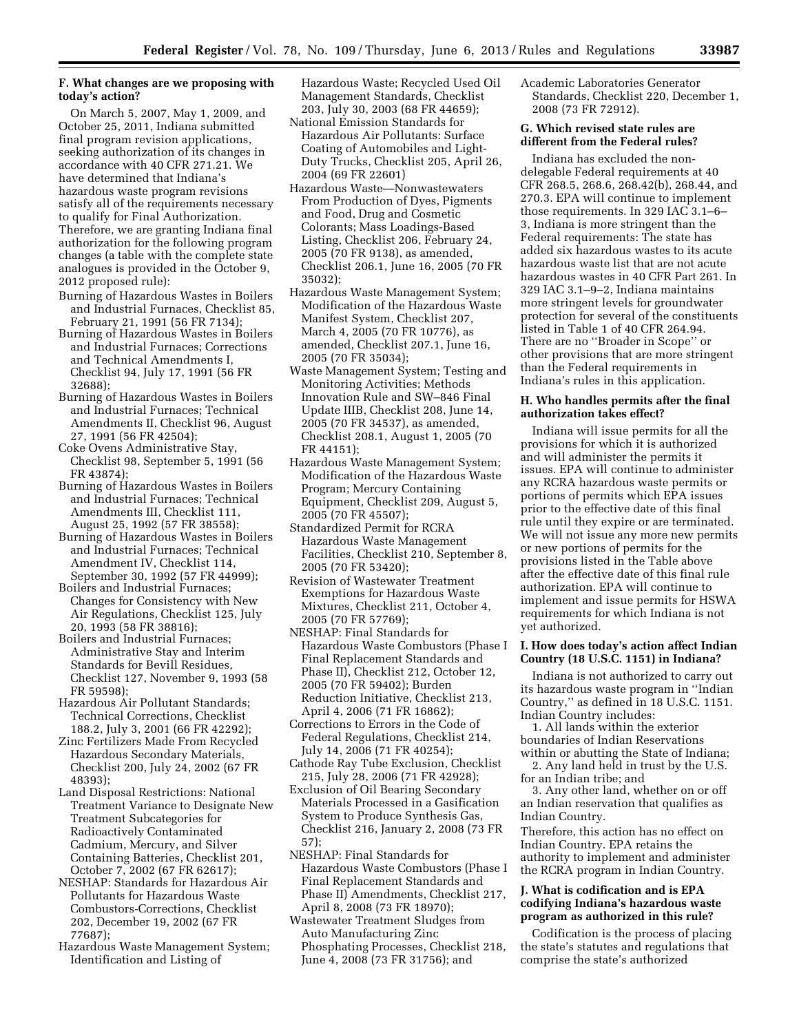# **F. What changes are we proposing with today's action?**

On March 5, 2007, May 1, 2009, and October 25, 2011, Indiana submitted final program revision applications, seeking authorization of its changes in accordance with 40 CFR 271.21. We have determined that Indiana's hazardous waste program revisions satisfy all of the requirements necessary to qualify for Final Authorization. Therefore, we are granting Indiana final authorization for the following program changes (a table with the complete state analogues is provided in the October 9, 2012 proposed rule):

- Burning of Hazardous Wastes in Boilers and Industrial Furnaces, Checklist 85, February 21, 1991 (56 FR 7134);
- Burning of Hazardous Wastes in Boilers and Industrial Furnaces; Corrections and Technical Amendments I, Checklist 94, July 17, 1991 (56 FR 32688);
- Burning of Hazardous Wastes in Boilers and Industrial Furnaces; Technical Amendments II, Checklist 96, August 27, 1991 (56 FR 42504);
- Coke Ovens Administrative Stay, Checklist 98, September 5, 1991 (56 FR 43874);
- Burning of Hazardous Wastes in Boilers and Industrial Furnaces; Technical Amendments III, Checklist 111, August 25, 1992 (57 FR 38558);
- Burning of Hazardous Wastes in Boilers and Industrial Furnaces; Technical Amendment IV, Checklist 114, September 30, 1992 (57 FR 44999);
- Boilers and Industrial Furnaces; Changes for Consistency with New Air Regulations, Checklist 125, July 20, 1993 (58 FR 38816);
- Boilers and Industrial Furnaces; Administrative Stay and Interim Standards for Bevill Residues, Checklist 127, November 9, 1993 (58 FR 59598);
- Hazardous Air Pollutant Standards; Technical Corrections, Checklist 188.2, July 3, 2001 (66 FR 42292);
- Zinc Fertilizers Made From Recycled Hazardous Secondary Materials, Checklist 200, July 24, 2002 (67 FR 48393);
- Land Disposal Restrictions: National Treatment Variance to Designate New Treatment Subcategories for Radioactively Contaminated Cadmium, Mercury, and Silver Containing Batteries, Checklist 201, October 7, 2002 (67 FR 62617);
- NESHAP: Standards for Hazardous Air Pollutants for Hazardous Waste Combustors-Corrections, Checklist 202, December 19, 2002 (67 FR 77687);
- Hazardous Waste Management System; Identification and Listing of

Hazardous Waste; Recycled Used Oil Management Standards, Checklist 203, July 30, 2003 (68 FR 44659);

- National Emission Standards for Hazardous Air Pollutants: Surface Coating of Automobiles and Light-Duty Trucks, Checklist 205, April 26, 2004 (69 FR 22601)
- Hazardous Waste—Nonwastewaters From Production of Dyes, Pigments and Food, Drug and Cosmetic Colorants; Mass Loadings-Based Listing, Checklist 206, February 24, 2005 (70 FR 9138), as amended, Checklist 206.1, June 16, 2005 (70 FR 35032);
- Hazardous Waste Management System; Modification of the Hazardous Waste Manifest System, Checklist 207, March 4, 2005 (70 FR 10776), as amended, Checklist 207.1, June 16, 2005 (70 FR 35034);
- Waste Management System; Testing and Monitoring Activities; Methods Innovation Rule and SW–846 Final Update IIIB, Checklist 208, June 14, 2005 (70 FR 34537), as amended, Checklist 208.1, August 1, 2005 (70 FR 44151);
- Hazardous Waste Management System; Modification of the Hazardous Waste Program; Mercury Containing Equipment, Checklist 209, August 5, 2005 (70 FR 45507);
- Standardized Permit for RCRA Hazardous Waste Management Facilities, Checklist 210, September 8, 2005 (70 FR 53420);
- Revision of Wastewater Treatment Exemptions for Hazardous Waste Mixtures, Checklist 211, October 4, 2005 (70 FR 57769);
- NESHAP: Final Standards for Hazardous Waste Combustors (Phase I Final Replacement Standards and Phase II), Checklist 212, October 12, 2005 (70 FR 59402); Burden Reduction Initiative, Checklist 213, April 4, 2006 (71 FR 16862);
- Corrections to Errors in the Code of Federal Regulations, Checklist 214, July 14, 2006 (71 FR 40254);
- Cathode Ray Tube Exclusion, Checklist 215, July 28, 2006 (71 FR 42928);
- Exclusion of Oil Bearing Secondary Materials Processed in a Gasification System to Produce Synthesis Gas, Checklist 216, January 2, 2008 (73 FR 57);
- NESHAP: Final Standards for Hazardous Waste Combustors (Phase I Final Replacement Standards and Phase II) Amendments, Checklist 217, April 8, 2008 (73 FR 18970);
- Wastewater Treatment Sludges from Auto Manufacturing Zinc Phosphating Processes, Checklist 218, June 4, 2008 (73 FR 31756); and

Academic Laboratories Generator Standards, Checklist 220, December 1, 2008 (73 FR 72912).

## **G. Which revised state rules are different from the Federal rules?**

Indiana has excluded the nondelegable Federal requirements at 40 CFR 268.5, 268.6, 268.42(b), 268.44, and 270.3. EPA will continue to implement those requirements. In 329 IAC 3.1–6– 3, Indiana is more stringent than the Federal requirements: The state has added six hazardous wastes to its acute hazardous waste list that are not acute hazardous wastes in 40 CFR Part 261. In 329 IAC 3.1–9–2, Indiana maintains more stringent levels for groundwater protection for several of the constituents listed in Table 1 of 40 CFR 264.94. There are no ''Broader in Scope'' or other provisions that are more stringent than the Federal requirements in Indiana's rules in this application.

## **H. Who handles permits after the final authorization takes effect?**

Indiana will issue permits for all the provisions for which it is authorized and will administer the permits it issues. EPA will continue to administer any RCRA hazardous waste permits or portions of permits which EPA issues prior to the effective date of this final rule until they expire or are terminated. We will not issue any more new permits or new portions of permits for the provisions listed in the Table above after the effective date of this final rule authorization. EPA will continue to implement and issue permits for HSWA requirements for which Indiana is not yet authorized.

# **I. How does today's action affect Indian Country (18 U.S.C. 1151) in Indiana?**

Indiana is not authorized to carry out its hazardous waste program in ''Indian Country,'' as defined in 18 U.S.C. 1151. Indian Country includes:

1. All lands within the exterior boundaries of Indian Reservations within or abutting the State of Indiana;

2. Any land held in trust by the U.S. for an Indian tribe; and

3. Any other land, whether on or off an Indian reservation that qualifies as Indian Country.

Therefore, this action has no effect on Indian Country. EPA retains the authority to implement and administer the RCRA program in Indian Country.

# **J. What is codification and is EPA codifying Indiana's hazardous waste program as authorized in this rule?**

Codification is the process of placing the state's statutes and regulations that comprise the state's authorized